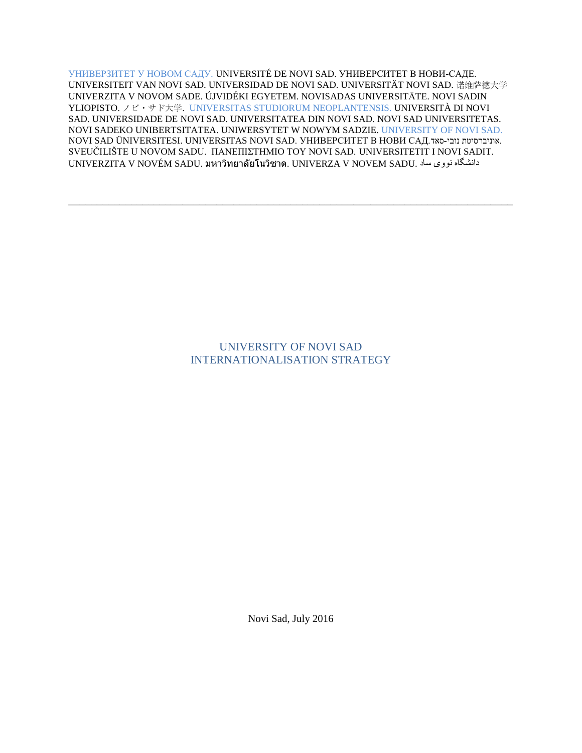УНИВЕРЗИТЕТ У НОВОМ САДУ. UNIVERSITÉ DE NOVI SAD. УНИВЕРСИТЕТ В НОВИ-САДЕ. UNIVERSITEIT VAN NOVI SAD. UNIVERSIDAD DE NOVI SAD. UNIVERSITÄT NOVI SAD. 诺维萨德大学 UNIVERZITA V NOVOM SADE. ÚJVIDÉKI EGYETEM. NOVISADAS UNIVERSITĀTE. NOVI SADIN YLIOPISTO. ノビ・サド大学. UNIVERSITAS STUDIORUM NEOPLANTENSIS. UNIVERSITÀ DI NOVI SAD. UNIVERSIDADE DE NOVI SAD. UNIVERSITATEA DIN NOVI SAD. NOVI SAD UNIVERSITETAS. NOVI SADEKO UNIBERTSITATEA. UNIWERSYTET W NOWYM SADZIE. UNIVERSITY OF NOVI SAD. NOVI SAD ÜNIVERSITESI. UNIVERSITAS NOVI SAD. YHUBEPCUTET B HOBU CAД. SVEUČILIŠTE U NOVOM SADU. ΠΑΝΕΠΙΣΤΗΜΙΟ TOY NOVI SAD. UNIVERSITETIT I NOVI SADIT. UNIVERZITA V NOVÉM SADU. มหาวิทยาลัยโนวิซาด. UNIVERZA V NOVEM SADU. ساد نووی دانشگاه

\_\_\_\_\_\_\_\_\_\_\_\_\_\_\_\_\_\_\_\_\_\_\_\_\_\_\_\_\_\_\_\_\_\_\_\_\_\_\_\_\_\_\_\_\_\_\_\_\_\_\_\_\_\_\_\_\_\_\_\_\_\_\_\_\_\_\_\_\_\_\_\_\_\_\_\_\_\_

# UNIVERSITY OF NOVI SAD INTERNATIONALISATION STRATEGY

Novi Sad, July 2016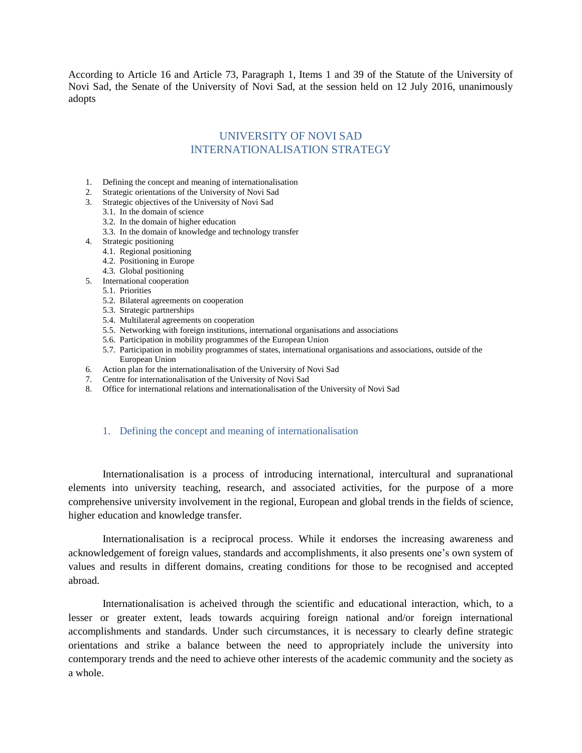According to Article 16 and Article 73, Paragraph 1, Items 1 and 39 of the Statute of the University of Novi Sad, the Senate of the University of Novi Sad, at the session held on 12 July 2016, unanimously adopts

# UNIVERSITY OF NOVI SAD INTERNATIONALISATION STRATEGY

- 1. Defining the concept and meaning of internationalisation
- 2. Strategic orientations of the University of Novi Sad
- 3. Strategic objectives of the University of Novi Sad
	- 3.1. In the domain of science
		- 3.2. In the domain of higher education
	- 3.3. In the domain of knowledge and technology transfer
- 4. Strategic positioning
	- 4.1. Regional positioning
	- 4.2. Positioning in Europe
	- 4.3. Global positioning
- 5. International cooperation
	- 5.1. Priorities
		- 5.2. Bilateral agreements on cooperation
		- 5.3. Strategic partnerships
		- 5.4. Multilateral agreements on cooperation
		- 5.5. Networking with foreign institutions, international organisations and associations
		- 5.6. Participation in mobility programmes of the European Union
	- 5.7. Participation in mobility programmes of states, international organisations and associations, outside of the European Union
- 6. Action plan for the internationalisation of the University of Novi Sad
- 7. Centre for internationalisation of the University of Novi Sad
- 8. Office for international relations and internationalisation of the University of Novi Sad

#### 1. Defining the concept and meaning of internationalisation

Internationalisation is a process of introducing international, intercultural and supranational elements into university teaching, research, and associated activities, for the purpose of a more comprehensive university involvement in the regional, European and global trends in the fields of science, higher education and knowledge transfer.

Internationalisation is a reciprocal process. While it endorses the increasing awareness and acknowledgement of foreign values, standards and accomplishments, it also presents one's own system of values and results in different domains, creating conditions for those to be recognised and accepted abroad.

Internationalisation is acheived through the scientific and educational interaction, which, to a lesser or greater extent, leads towards acquiring foreign national and/or foreign international accomplishments and standards. Under such circumstances, it is necessary to clearly define strategic orientations and strike a balance between the need to appropriately include the university into contemporary trends and the need to achieve other interests of the academic community and the society as a whole.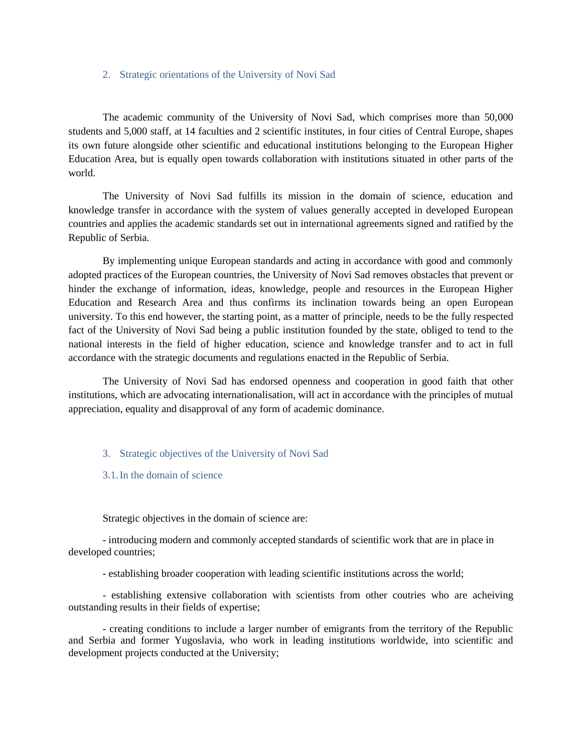### 2. Strategic orientations of the University of Novi Sad

The academic community of the University of Novi Sad, which comprises more than 50,000 students and 5,000 staff, at 14 faculties and 2 scientific institutes, in four cities of Central Europe, shapes its own future alongside other scientific and educational institutions belonging to the European Higher Education Area, but is equally open towards collaboration with institutions situated in other parts of the world.

The University of Novi Sad fulfills its mission in the domain of science, education and knowledge transfer in accordance with the system of values generally accepted in developed European countries and applies the academic standards set out in international agreements signed and ratified by the Republic of Serbia.

By implementing unique European standards and acting in accordance with good and commonly adopted practices of the European countries, the University of Novi Sad removes obstacles that prevent or hinder the exchange of information, ideas, knowledge, people and resources in the European Higher Education and Research Area and thus confirms its inclination towards being an open European university. To this end however, the starting point, as a matter of principle, needs to be the fully respected fact of the University of Novi Sad being a public institution founded by the state, obliged to tend to the national interests in the field of higher education, science and knowledge transfer and to act in full accordance with the strategic documents and regulations enacted in the Republic of Serbia.

The University of Novi Sad has endorsed openness and cooperation in good faith that other institutions, which are advocating internationalisation, will act in accordance with the principles of mutual appreciation, equality and disapproval of any form of academic dominance.

#### 3. Strategic objectives of the University of Novi Sad

3.1.In the domain of science

Strategic objectives in the domain of science are:

- introducing modern and commonly accepted standards of scientific work that are in place in developed countries;

- establishing broader cooperation with leading scientific institutions across the world;

- establishing extensive collaboration with scientists from other coutries who are acheiving outstanding results in their fields of expertise;

- creating conditions to include a larger number of emigrants from the territory of the Republic and Serbia and former Yugoslavia, who work in leading institutions worldwide, into scientific and development projects conducted at the University;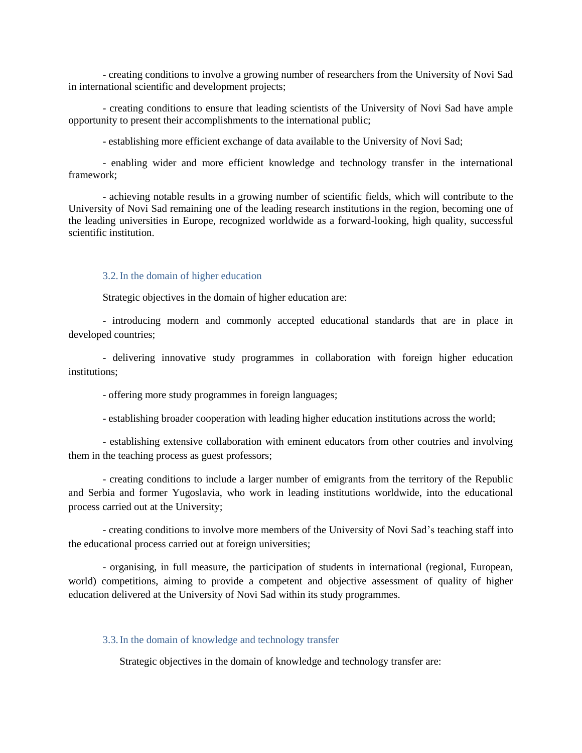- creating conditions to involve a growing number of researchers from the University of Novi Sad in international scientific and development projects;

- creating conditions to ensure that leading scientists of the University of Novi Sad have ample opportunity to present their accomplishments to the international public;

- establishing more efficient exchange of data available to the University of Novi Sad;

- enabling wider and more efficient knowledge and technology transfer in the international framework;

- achieving notable results in a growing number of scientific fields, which will contribute to the University of Novi Sad remaining one of the leading research institutions in the region, becoming one of the leading universities in Europe, recognized worldwide as a forward-looking, high quality, successful scientific institution.

### 3.2.In the domain of higher education

Strategic objectives in the domain of higher education are:

- introducing modern and commonly accepted educational standards that are in place in developed countries;

- delivering innovative study programmes in collaboration with foreign higher education institutions;

- offering more study programmes in foreign languages;

- establishing broader cooperation with leading higher education institutions across the world;

- establishing extensive collaboration with eminent educators from other coutries and involving them in the teaching process as guest professors;

- creating conditions to include a larger number of emigrants from the territory of the Republic and Serbia and former Yugoslavia, who work in leading institutions worldwide, into the educational process carried out at the University;

- creating conditions to involve more members of the University of Novi Sad's teaching staff into the educational process carried out at foreign universities;

- organising, in full measure, the participation of students in international (regional, European, world) competitions, aiming to provide a competent and objective assessment of quality of higher education delivered at the University of Novi Sad within its study programmes.

#### 3.3.In the domain of knowledge and technology transfer

Strategic objectives in the domain of knowledge and technology transfer are: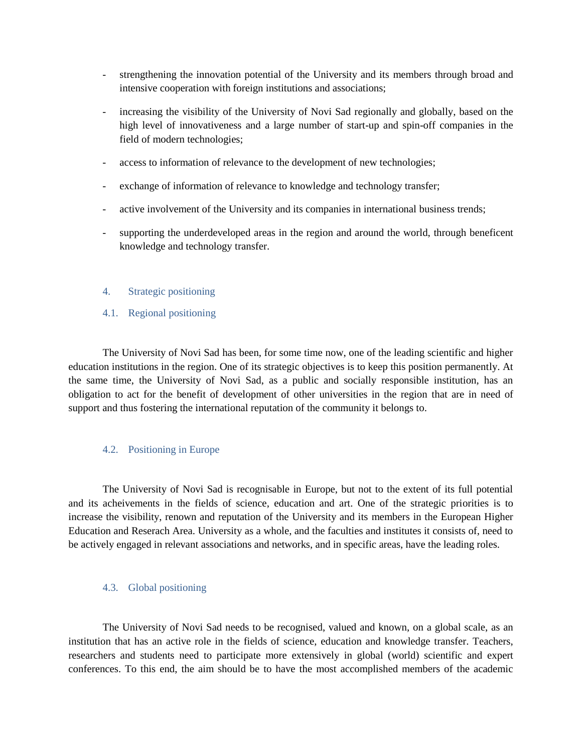- strengthening the innovation potential of the University and its members through broad and intensive cooperation with foreign institutions and associations;
- increasing the visibility of the University of Novi Sad regionally and globally, based on the high level of innovativeness and a large number of start-up and spin-off companies in the field of modern technologies;
- access to information of relevance to the development of new technologies;
- exchange of information of relevance to knowledge and technology transfer;
- active involvement of the University and its companies in international business trends;
- supporting the underdeveloped areas in the region and around the world, through beneficent knowledge and technology transfer.
- 4. Strategic positioning
- 4.1. Regional positioning

The University of Novi Sad has been, for some time now, one of the leading scientific and higher education institutions in the region. One of its strategic objectives is to keep this position permanently. At the same time, the University of Novi Sad, as a public and socially responsible institution, has an obligation to act for the benefit of development of other universities in the region that are in need of support and thus fostering the international reputation of the community it belongs to.

### 4.2. Positioning in Europe

The University of Novi Sad is recognisable in Europe, but not to the extent of its full potential and its acheivements in the fields of science, education and art. One of the strategic priorities is to increase the visibility, renown and reputation of the University and its members in the European Higher Education and Reserach Area. University as a whole, and the faculties and institutes it consists of, need to be actively engaged in relevant associations and networks, and in specific areas, have the leading roles.

#### 4.3. Global positioning

The University of Novi Sad needs to be recognised, valued and known, on a global scale, as an institution that has an active role in the fields of science, education and knowledge transfer. Teachers, researchers and students need to participate more extensively in global (world) scientific and expert conferences. To this end, the aim should be to have the most accomplished members of the academic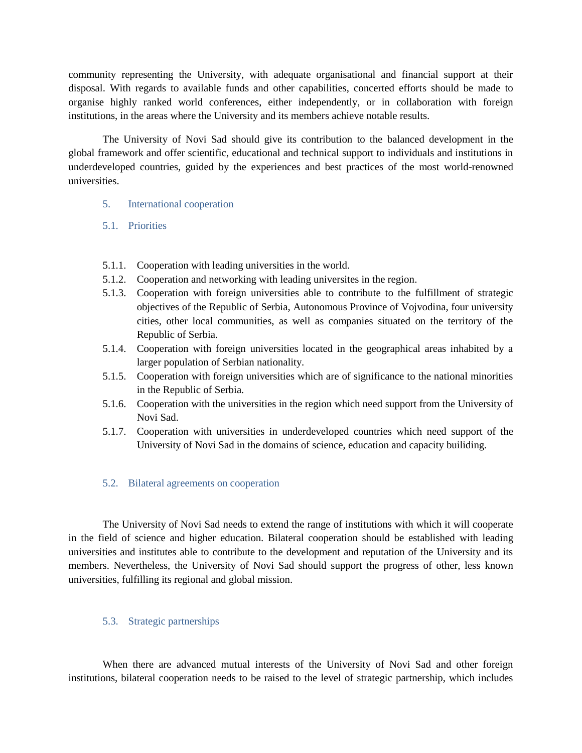community representing the University, with adequate organisational and financial support at their disposal. With regards to available funds and other capabilities, concerted efforts should be made to organise highly ranked world conferences, either independently, or in collaboration with foreign institutions, in the areas where the University and its members achieve notable results.

The University of Novi Sad should give its contribution to the balanced development in the global framework and offer scientific, educational and technical support to individuals and institutions in underdeveloped countries, guided by the experiences and best practices of the most world-renowned universities.

- 5. International cooperation
- 5.1. Priorities
- 5.1.1. Cooperation with leading universities in the world.
- 5.1.2. Cooperation and networking with leading universites in the region.
- 5.1.3. Cooperation with foreign universities able to contribute to the fulfillment of strategic objectives of the Republic of Serbia, Autonomous Province of Vojvodina, four university cities, other local communities, as well as companies situated on the territory of the Republic of Serbia.
- 5.1.4. Cooperation with foreign universities located in the geographical areas inhabited by a larger population of Serbian nationality.
- 5.1.5. Cooperation with foreign universities which are of significance to the national minorities in the Republic of Serbia.
- 5.1.6. Cooperation with the universities in the region which need support from the University of Novi Sad.
- 5.1.7. Cooperation with universities in underdeveloped countries which need support of the University of Novi Sad in the domains of science, education and capacity builiding.

# 5.2. Bilateral agreements on cooperation

The University of Novi Sad needs to extend the range of institutions with which it will cooperate in the field of science and higher education. Bilateral cooperation should be established with leading universities and institutes able to contribute to the development and reputation of the University and its members. Nevertheless, the University of Novi Sad should support the progress of other, less known universities, fulfilling its regional and global mission.

# 5.3. Strategic partnerships

When there are advanced mutual interests of the University of Novi Sad and other foreign institutions, bilateral cooperation needs to be raised to the level of strategic partnership, which includes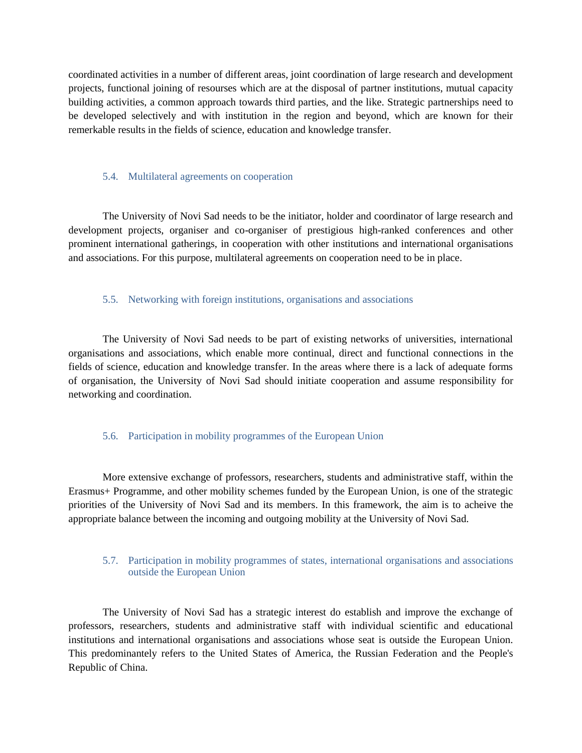coordinated activities in a number of different areas, joint coordination of large research and development projects, functional joining of resourses which are at the disposal of partner institutions, mutual capacity building activities, a common approach towards third parties, and the like. Strategic partnerships need to be developed selectively and with institution in the region and beyond, which are known for their remerkable results in the fields of science, education and knowledge transfer.

#### 5.4. Multilateral agreements on cooperation

The University of Novi Sad needs to be the initiator, holder and coordinator of large research and development projects, organiser and co-organiser of prestigious high-ranked conferences and other prominent international gatherings, in cooperation with other institutions and international organisations and associations. For this purpose, multilateral agreements on cooperation need to be in place.

### 5.5. Networking with foreign institutions, organisations and associations

The University of Novi Sad needs to be part of existing networks of universities, international organisations and associations, which enable more continual, direct and functional connections in the fields of science, education and knowledge transfer. In the areas where there is a lack of adequate forms of organisation, the University of Novi Sad should initiate cooperation and assume responsibility for networking and coordination.

#### 5.6. Participation in mobility programmes of the European Union

More extensive exchange of professors, researchers, students and administrative staff, within the Erasmus+ Programme, and other mobility schemes funded by the European Union, is one of the strategic priorities of the University of Novi Sad and its members. In this framework, the aim is to acheive the appropriate balance between the incoming and outgoing mobility at the University of Novi Sad.

### 5.7. Participation in mobility programmes of states, international organisations and associations outside the European Union

The University of Novi Sad has a strategic interest do establish and improve the exchange of professors, researchers, students and administrative staff with individual scientific and educational institutions and international organisations and associations whose seat is outside the European Union. This predominantely refers to the United States of America, the Russian Federation and the People's Republic of China.